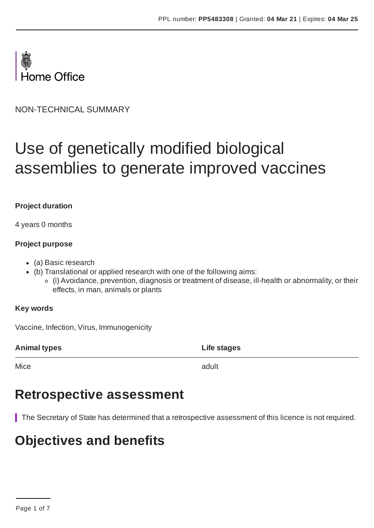

NON-TECHNICAL SUMMARY

# Use of genetically modified biological assemblies to generate improved vaccines

#### **Project duration**

4 years 0 months

#### **Project purpose**

- (a) Basic research
- (b) Translational or applied research with one of the following aims:
	- (i) Avoidance, prevention, diagnosis or treatment of disease, ill-health or abnormality, or their effects, in man, animals or plants

#### **Key words**

Vaccine, Infection, Virus, Immunogenicity

**Animal types Life stages**

Mice and the contract of the contract of the contract of the contract of the contract of the contract of the contract of the contract of the contract of the contract of the contract of the contract of the contract of the c

### **Retrospective assessment**

The Secretary of State has determined that a retrospective assessment of this licence is not required.

# **Objectives and benefits**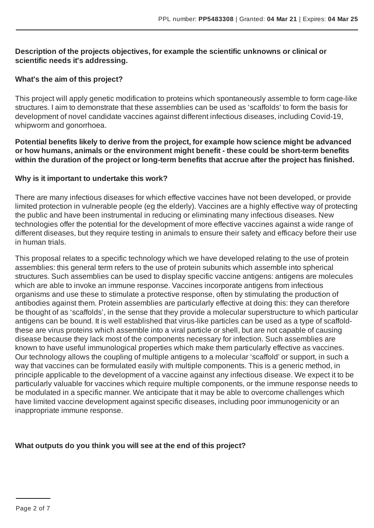#### **Description of the projects objectives, for example the scientific unknowns or clinical or scientific needs it's addressing.**

#### **What's the aim of this project?**

This project will apply genetic modification to proteins which spontaneously assemble to form cage-like structures. I aim to demonstrate that these assemblies can be used as 'scaffolds' to form the basis for development of novel candidate vaccines against different infectious diseases, including Covid-19, whipworm and gonorrhoea.

**Potential benefits likely to derive from the project, for example how science might be advanced or how humans, animals or the environment might benefit - these could be short-term benefits within the duration of the project or long-term benefits that accrue after the project has finished.**

#### **Why is it important to undertake this work?**

There are many infectious diseases for which effective vaccines have not been developed, or provide limited protection in vulnerable people (eg the elderly). Vaccines are a highly effective way of protecting the public and have been instrumental in reducing or eliminating many infectious diseases. New technologies offer the potential for the development of more effective vaccines against a wide range of different diseases, but they require testing in animals to ensure their safety and efficacy before their use in human trials.

This proposal relates to a specific technology which we have developed relating to the use of protein assemblies: this general term refers to the use of protein subunits which assemble into spherical structures. Such assemblies can be used to display specific vaccine antigens: antigens are molecules which are able to invoke an immune response. Vaccines incorporate antigens from infectious organisms and use these to stimulate a protective response, often by stimulating the production of antibodies against them. Protein assemblies are particularly effective at doing this: they can therefore be thought of as 'scaffolds', in the sense that they provide a molecular superstructure to which particular antigens can be bound. It is well established that virus-like particles can be used as a type of scaffoldthese are virus proteins which assemble into a viral particle or shell, but are not capable of causing disease because they lack most of the components necessary for infection. Such assemblies are known to have useful immunological properties which make them particularly effective as vaccines. Our technology allows the coupling of multiple antigens to a molecular 'scaffold' or support, in such a way that vaccines can be formulated easily with multiple components. This is a generic method, in principle applicable to the development of a vaccine against any infectious disease. We expect it to be particularly valuable for vaccines which require multiple components, or the immune response needs to be modulated in a specific manner. We anticipate that it may be able to overcome challenges which have limited vaccine development against specific diseases, including poor immunogenicity or an inappropriate immune response.

#### **What outputs do you think you will see at the end of this project?**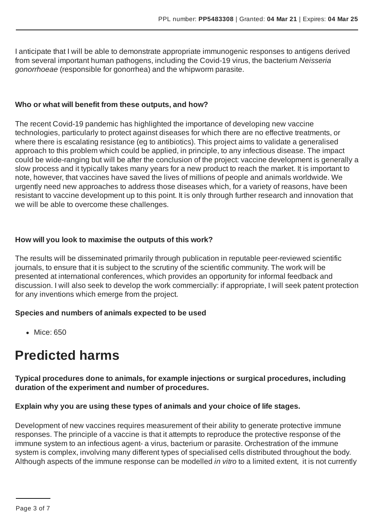I anticipate that I will be able to demonstrate appropriate immunogenic responses to antigens derived from several important human pathogens, including the Covid-19 virus, the bacterium *Neisseria gonorrhoeae* (responsible for gonorrhea) and the whipworm parasite.

#### **Who or what will benefit from these outputs, and how?**

The recent Covid-19 pandemic has highlighted the importance of developing new vaccine technologies, particularly to protect against diseases for which there are no effective treatments, or where there is escalating resistance (eg to antibiotics). This project aims to validate a generalised approach to this problem which could be applied, in principle, to any infectious disease. The impact could be wide-ranging but will be after the conclusion of the project: vaccine development is generally a slow process and it typically takes many years for a new product to reach the market. It is important to note, however, that vaccines have saved the lives of millions of people and animals worldwide. We urgently need new approaches to address those diseases which, for a variety of reasons, have been resistant to vaccine development up to this point. It is only through further research and innovation that we will be able to overcome these challenges.

#### **How will you look to maximise the outputs of this work?**

The results will be disseminated primarily through publication in reputable peer-reviewed scientific journals, to ensure that it is subject to the scrutiny of the scientific community. The work will be presented at international conferences, which provides an opportunity for informal feedback and discussion. I will also seek to develop the work commercially: if appropriate, I will seek patent protection for any inventions which emerge from the project.

#### **Species and numbers of animals expected to be used**

• Mice: 650

### **Predicted harms**

**Typical procedures done to animals, for example injections or surgical procedures, including duration of the experiment and number of procedures.**

#### **Explain why you are using these types of animals and your choice of life stages.**

Development of new vaccines requires measurement of their ability to generate protective immune responses. The principle of a vaccine is that it attempts to reproduce the protective response of the immune system to an infectious agent- a virus, bacterium or parasite. Orchestration of the immune system is complex, involving many different types of specialised cells distributed throughout the body. Although aspects of the immune response can be modelled *in vitro* to a limited extent, it is not currently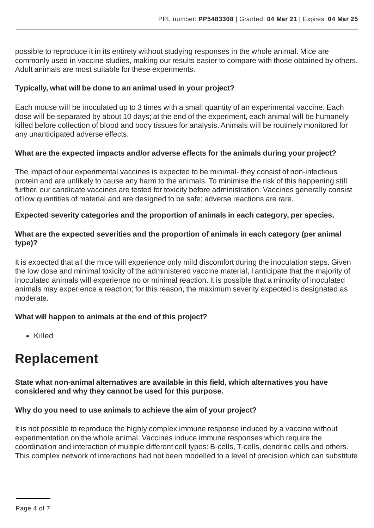possible to reproduce it in its entirety without studying responses in the whole animal. Mice are commonly used in vaccine studies, making our results easier to compare with those obtained by others. Adult animals are most suitable for these experiments.

#### **Typically, what will be done to an animal used in your project?**

Each mouse will be inoculated up to 3 times with a small quantity of an experimental vaccine. Each dose will be separated by about 10 days; at the end of the experiment, each animal will be humanely killed before collection of blood and body tissues for analysis.Animals will be routinely monitored for any unanticipated adverse effects.

#### **What are the expected impacts and/or adverse effects for the animals during your project?**

The impact of our experimental vaccines is expected to be minimal- they consist of non-infectious protein and are unlikely to cause any harm to the animals. To minimise the risk of this happening still further, our candidate vaccines are tested for toxicity before administration. Vaccines generally consist of low quantities of material and are designed to be safe; adverse reactions are rare.

#### **Expected severity categories and the proportion of animals in each category, per species.**

#### **What are the expected severities and the proportion of animals in each category (per animal type)?**

It is expected that all the mice will experience only mild discomfort during the inoculation steps. Given the low dose and minimal toxicity of the administered vaccine material, I anticipate that the majority of inoculated animals will experience no or minimal reaction. It is possible that a minority of inoculated animals may experience a reaction; for this reason, the maximum severity expected is designated as moderate.

#### **What will happen to animals at the end of this project?**

Killed

### **Replacement**

**State what non-animal alternatives are available in this field, which alternatives you have considered and why they cannot be used for this purpose.**

#### **Why do you need to use animals to achieve the aim of your project?**

It is not possible to reproduce the highly complex immune response induced by a vaccine without experimentation on the whole animal. Vaccines induce immune responses which require the coordination and interaction of multiple different cell types: B-cells, T-cells, dendritic cells and others. This complex network of interactions had not been modelled to a level of precision which can substitute

Page 4 of 7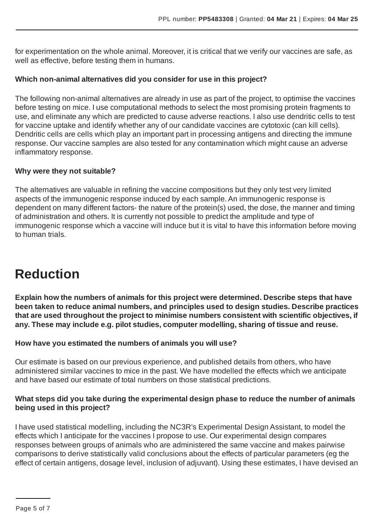for experimentation on the whole animal. Moreover, it is critical that we verify our vaccines are safe, as well as effective, before testing them in humans.

#### **Which non-animal alternatives did you consider for use in this project?**

The following non-animal alternatives are already in use as part of the project, to optimise the vaccines before testing on mice. I use computational methods to select the most promising protein fragments to use, and eliminate any which are predicted to cause adverse reactions. I also use dendritic cells to test for vaccine uptake and identify whether any of our candidate vaccines are cytotoxic (can kill cells). Dendritic cells are cells which play an important part in processing antigens and directing the immune response. Our vaccine samples are also tested for any contamination which might cause an adverse inflammatory response.

#### **Why were they not suitable?**

The alternatives are valuable in refining the vaccine compositions but they only test very limited aspects of the immunogenic response induced by each sample.An immunogenic response is dependent on many different factors- the nature of the protein(s) used, the dose, the manner and timing of administration and others. It is currently not possible to predict the amplitude and type of immunogenic response which a vaccine will induce but it is vital to have this information before moving to human trials.

# **Reduction**

**Explain how the numbers of animals for this project were determined. Describe steps that have been taken to reduce animal numbers, and principles used to design studies. Describe practices that are used throughout the project to minimise numbers consistent with scientific objectives, if any. These may include e.g. pilot studies, computer modelling, sharing of tissue and reuse.**

#### **How have you estimated the numbers of animals you will use?**

Our estimate is based on our previous experience, and published details from others, who have administered similar vaccines to mice in the past. We have modelled the effects which we anticipate and have based our estimate of total numbers on those statistical predictions.

#### **What steps did you take during the experimental design phase to reduce the number of animals being used in this project?**

I have used statistical modelling, including the NC3R's Experimental Design Assistant, to model the effects which I anticipate for the vaccines I propose to use. Our experimental design compares responses between groups of animals who are administered the same vaccine and makes pairwise comparisons to derive statistically valid conclusions about the effects of particular parameters (eg the effect of certain antigens, dosage level, inclusion of adjuvant). Using these estimates, I have devised an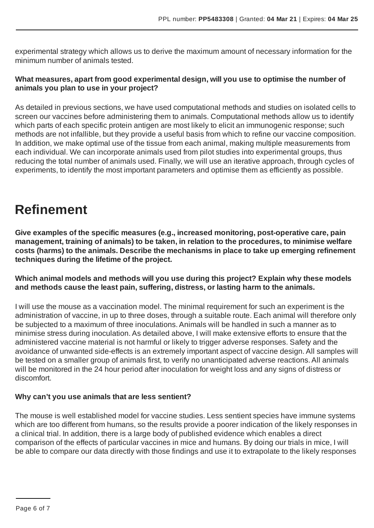experimental strategy which allows us to derive the maximum amount of necessary information for the minimum number of animals tested.

#### **What measures, apart from good experimental design, will you use to optimise the number of animals you plan to use in your project?**

As detailed in previous sections, we have used computational methods and studies on isolated cells to screen our vaccines before administering them to animals. Computational methods allow us to identify which parts of each specific protein antigen are most likely to elicit an immunogenic response; such methods are not infallible, but they provide a useful basis from which to refine our vaccine composition. In addition, we make optimal use of the tissue from each animal, making multiple measurements from each individual. We can incorporate animals used from pilot studies into experimental groups, thus reducing the total number of animals used. Finally, we will use an iterative approach, through cycles of experiments, to identify the most important parameters and optimise them as efficiently as possible.

# **Refinement**

**Give examples of the specific measures (e.g., increased monitoring, post-operative care, pain management, training of animals) to be taken, in relation to the procedures, to minimise welfare costs (harms) to the animals. Describe the mechanisms in place to take up emerging refinement techniques during the lifetime of the project.**

#### **Which animal models and methods will you use during this project? Explain why these models and methods cause the least pain, suffering, distress, or lasting harm to the animals.**

I will use the mouse as a vaccination model. The minimal requirement for such an experiment is the administration of vaccine, in up to three doses, through a suitable route. Each animal will therefore only be subjected to a maximum of three inoculations.Animals will be handled in such a manner as to minimise stress during inoculation.As detailed above, I will make extensive efforts to ensure that the administered vaccine material is not harmful or likely to trigger adverse responses. Safety and the avoidance of unwanted side-effects is an extremely important aspect of vaccine design.All samples will be tested on a smaller group of animals first, to verify no unanticipated adverse reactions.All animals will be monitored in the 24 hour period after inoculation for weight loss and any signs of distress or discomfort.

#### **Why can't you use animals that are less sentient?**

The mouse is well established model for vaccine studies. Less sentient species have immune systems which are too different from humans, so the results provide a poorer indication of the likely responses in a clinical trial. In addition, there is a large body of published evidence which enables a direct comparison of the effects of particular vaccines in mice and humans. By doing our trials in mice, I will be able to compare our data directly with those findings and use it to extrapolate to the likely responses